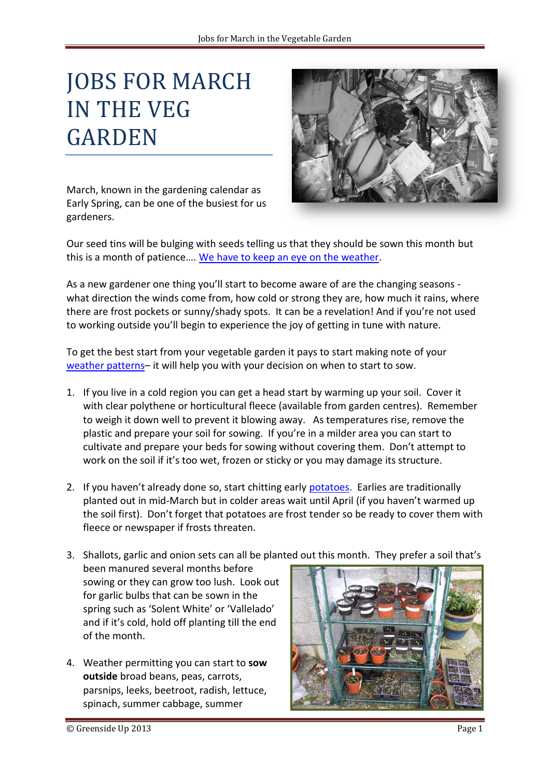## JOBS FOR MARCH IN THE VEG GARDEN



March, known in the gardening calendar as Early Spring, can be one of the busiest for us gardeners.

Our seed tins will be bulging with seeds telling us that they should be sown this month but this is a month of patience…. [We have to keep an eye on the weather.](http://greensideup.ie/seeds-how-do-you-know-when-its-safe-to-sow/)

As a new gardener one thing you'll start to become aware of are the changing seasons what direction the winds come from, how cold or strong they are, how much it rains, where there are frost pockets or sunny/shady spots. It can be a revelation! And if you're not used to working outside you'll begin to experience the joy of getting in tune with nature.

To get the best start from your vegetable garden it pays to start making note of your [weather patterns](http://www.met.ie/climate-ireland/30year-averages.asp)– it will help you with your decision on when to start to sow.

- 1. If you live in a cold region you can get a head start by warming up your soil. Cover it with clear polythene or horticultural fleece (available from garden centres). Remember to weigh it down well to prevent it blowing away. As temperatures rise, remove the plastic and prepare your soil for sowing. If you're in a milder area you can start to cultivate and prepare your beds for sowing without covering them. Don't attempt to work on the soil if it's too wet, frozen or sticky or you may damage its structure.
- 2. If you haven't already done so, start chitting early [potatoes.](http://greensideup.ie/blight-resistant-potatoes/) Earlies are traditionally planted out in mid-March but in colder areas wait until April (if you haven't warmed up the soil first). Don't forget that potatoes are frost tender so be ready to cover them with fleece or newspaper if frosts threaten.
- 3. Shallots, garlic and onion sets can all be planted out this month. They prefer a soil that's
- been manured several months before sowing or they can grow too lush. Look out for garlic bulbs that can be sown in the spring such as 'Solent White' or 'Vallelado' and if it's cold, hold off planting till the end of the month.
- 4. Weather permitting you can start to **sow outside** broad beans, peas, carrots, parsnips, leeks, beetroot, radish, lettuce, spinach, summer cabbage, summer